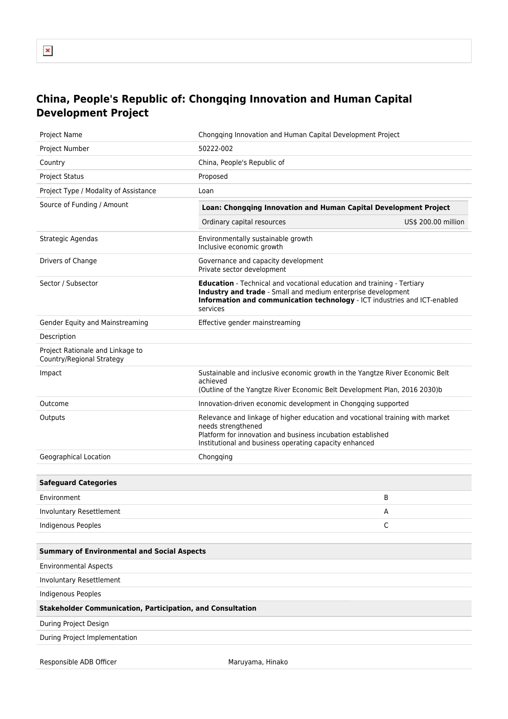## **China, People's Republic of: Chongqing Innovation and Human Capital Development Project**

| Project Name                                                      | Chongqing Innovation and Human Capital Development Project                                                                                                                                                                             |                     |
|-------------------------------------------------------------------|----------------------------------------------------------------------------------------------------------------------------------------------------------------------------------------------------------------------------------------|---------------------|
| Project Number                                                    | 50222-002                                                                                                                                                                                                                              |                     |
| Country                                                           | China, People's Republic of                                                                                                                                                                                                            |                     |
| <b>Project Status</b>                                             | Proposed                                                                                                                                                                                                                               |                     |
| Project Type / Modality of Assistance                             | Loan                                                                                                                                                                                                                                   |                     |
| Source of Funding / Amount                                        | Loan: Chongqing Innovation and Human Capital Development Project                                                                                                                                                                       |                     |
|                                                                   | Ordinary capital resources                                                                                                                                                                                                             | US\$ 200.00 million |
| Strategic Agendas                                                 | Environmentally sustainable growth<br>Inclusive economic growth                                                                                                                                                                        |                     |
| Drivers of Change                                                 | Governance and capacity development<br>Private sector development                                                                                                                                                                      |                     |
| Sector / Subsector                                                | <b>Education</b> - Technical and vocational education and training - Tertiary<br>Industry and trade - Small and medium enterprise development<br>Information and communication technology - ICT industries and ICT-enabled<br>services |                     |
| Gender Equity and Mainstreaming                                   | Effective gender mainstreaming                                                                                                                                                                                                         |                     |
| Description                                                       |                                                                                                                                                                                                                                        |                     |
| Project Rationale and Linkage to<br>Country/Regional Strategy     |                                                                                                                                                                                                                                        |                     |
| Impact                                                            | Sustainable and inclusive economic growth in the Yangtze River Economic Belt<br>achieved<br>(Outline of the Yangtze River Economic Belt Development Plan, 2016 2030)b                                                                  |                     |
| Outcome                                                           | Innovation-driven economic development in Chongqing supported                                                                                                                                                                          |                     |
| Outputs                                                           | Relevance and linkage of higher education and vocational training with market<br>needs strengthened<br>Platform for innovation and business incubation established<br>Institutional and business operating capacity enhanced           |                     |
| Geographical Location                                             | Chongqing                                                                                                                                                                                                                              |                     |
|                                                                   |                                                                                                                                                                                                                                        |                     |
| <b>Safeguard Categories</b>                                       |                                                                                                                                                                                                                                        |                     |
| Environment                                                       |                                                                                                                                                                                                                                        | B                   |
| Involuntary Resettlement                                          |                                                                                                                                                                                                                                        | A                   |
| <b>Indigenous Peoples</b>                                         |                                                                                                                                                                                                                                        | C                   |
|                                                                   |                                                                                                                                                                                                                                        |                     |
| <b>Summary of Environmental and Social Aspects</b>                |                                                                                                                                                                                                                                        |                     |
| <b>Environmental Aspects</b>                                      |                                                                                                                                                                                                                                        |                     |
| Involuntary Resettlement                                          |                                                                                                                                                                                                                                        |                     |
| <b>Indigenous Peoples</b>                                         |                                                                                                                                                                                                                                        |                     |
| <b>Stakeholder Communication, Participation, and Consultation</b> |                                                                                                                                                                                                                                        |                     |
| During Project Design                                             |                                                                                                                                                                                                                                        |                     |
| During Project Implementation                                     |                                                                                                                                                                                                                                        |                     |
| Responsible ADB Officer                                           | Maruyama, Hinako                                                                                                                                                                                                                       |                     |